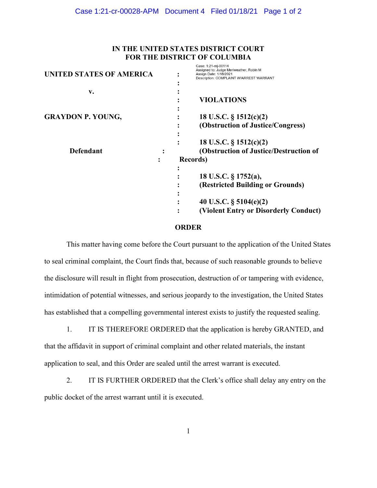## IN THE UNITED STATES DISTRICT COURT FOR THE DISTRICT OF COLUMBIA

Caso: 1:21 mi 00114

| <b>UNITED STATES OF AMERICA</b> | Casc. 1.21-111-00114<br>Assigned to: Judge Meriweather, Robin M<br>Assign Date: 1/18/2021<br>Description: COMPLAINT W/ARREST WARRANT |
|---------------------------------|--------------------------------------------------------------------------------------------------------------------------------------|
| v.                              |                                                                                                                                      |
|                                 | <b>VIOLATIONS</b>                                                                                                                    |
| <b>GRAYDON P. YOUNG,</b>        | 18 U.S.C. § 1512(c)(2)                                                                                                               |
|                                 | (Obstruction of Justice/Congress)                                                                                                    |
|                                 | 18 U.S.C. $\S$ 1512(c)(2)                                                                                                            |
| <b>Defendant</b>                | (Obstruction of Justice/Destruction of                                                                                               |
|                                 | <b>Records</b> )                                                                                                                     |
|                                 |                                                                                                                                      |
|                                 | 18 U.S.C. § 1752(a),                                                                                                                 |
|                                 | (Restricted Building or Grounds)                                                                                                     |
|                                 |                                                                                                                                      |
|                                 | 40 U.S.C. $\S$ 5104(e)(2)                                                                                                            |
|                                 | (Violent Entry or Disorderly Conduct)                                                                                                |
|                                 |                                                                                                                                      |

## **ORDER**

This matter having come before the Court pursuant to the application of the United States to seal criminal complaint, the Court finds that, because of such reasonable grounds to believe the disclosure will result in flight from prosecution, destruction of or tampering with evidence, intimidation of potential witnesses, and serious jeopardy to the investigation, the United States has established that a compelling governmental interest exists to justify the requested sealing.

1. IT IS THEREFORE ORDERED that the application is hereby GRANTED, and that the affidavit in support of criminal complaint and other related materials, the instant application to seal, and this Order are sealed until the arrest warrant is executed.

2. IT IS FURTHER ORDERED that the Clerk's office shall delay any entry on the public docket of the arrest warrant until it is executed.